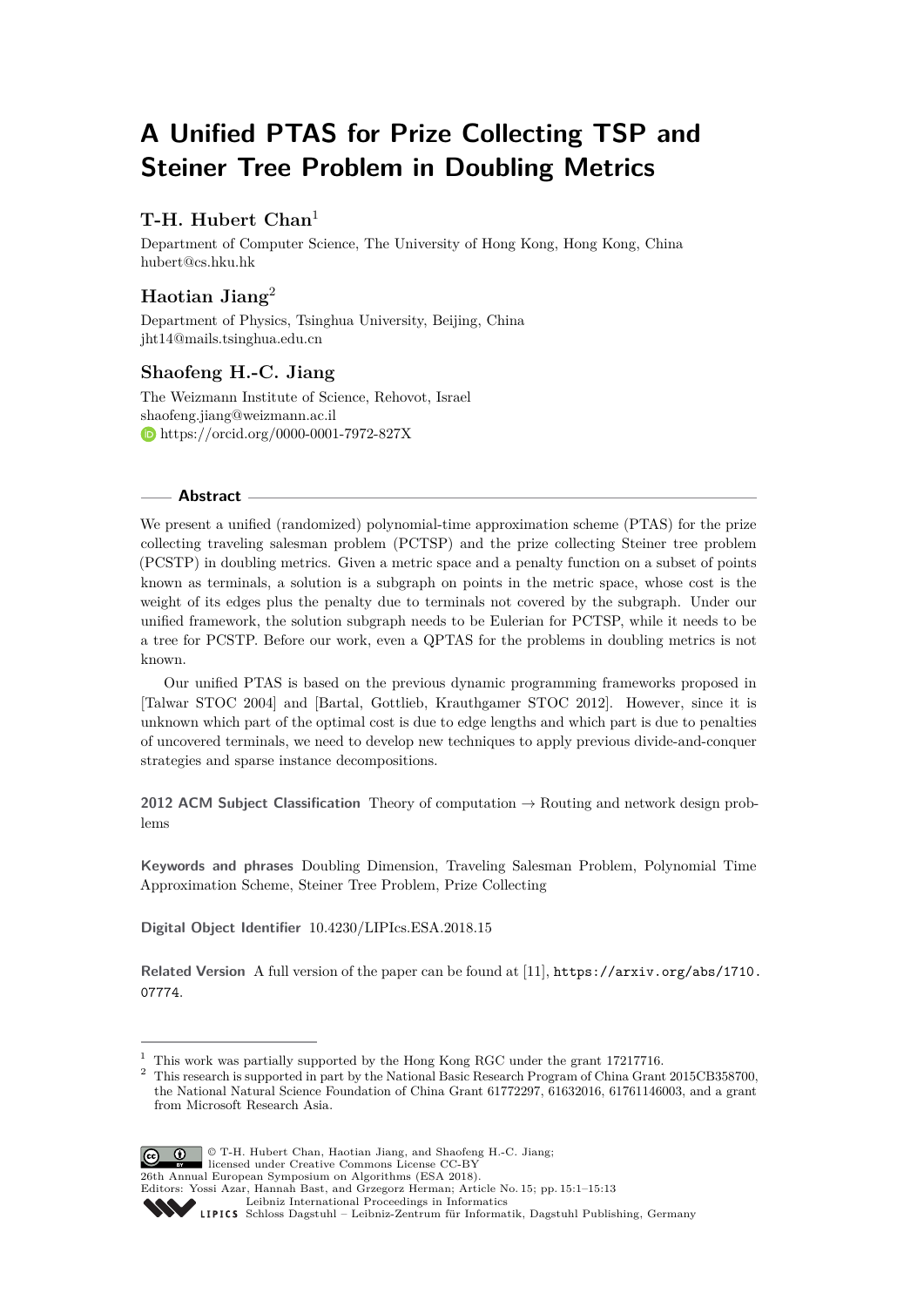# **A Unified PTAS for Prize Collecting TSP and Steiner Tree Problem in Doubling Metrics**

# **T-H. Hubert Chan**<sup>1</sup>

Department of Computer Science, The University of Hong Kong, Hong Kong, China [hubert@cs.hku.hk](mailto:hubert@cs.hku.hk)

# **Haotian Jiang**<sup>2</sup>

Department of Physics, Tsinghua University, Beijing, China [jht14@mails.tsinghua.edu.cn](mailto:jht14@mails.tsinghua.edu.cn)

# **Shaofeng H.-C. Jiang**

The Weizmann Institute of Science, Rehovot, Israel [shaofeng.jiang@weizmann.ac.il](mailto:shaofeng.jiang@weizmann.ac.il) <https://orcid.org/0000-0001-7972-827X>

### **Abstract**

We present a unified (randomized) polynomial-time approximation scheme (PTAS) for the prize collecting traveling salesman problem (PCTSP) and the prize collecting Steiner tree problem (PCSTP) in doubling metrics. Given a metric space and a penalty function on a subset of points known as terminals, a solution is a subgraph on points in the metric space, whose cost is the weight of its edges plus the penalty due to terminals not covered by the subgraph. Under our unified framework, the solution subgraph needs to be Eulerian for PCTSP, while it needs to be a tree for PCSTP. Before our work, even a QPTAS for the problems in doubling metrics is not known.

Our unified PTAS is based on the previous dynamic programming frameworks proposed in [Talwar STOC 2004] and [Bartal, Gottlieb, Krauthgamer STOC 2012]. However, since it is unknown which part of the optimal cost is due to edge lengths and which part is due to penalties of uncovered terminals, we need to develop new techniques to apply previous divide-and-conquer strategies and sparse instance decompositions.

**2012 ACM Subject Classification** Theory of computation → Routing and network design problems

**Keywords and phrases** Doubling Dimension, Traveling Salesman Problem, Polynomial Time Approximation Scheme, Steiner Tree Problem, Prize Collecting

**Digital Object Identifier** [10.4230/LIPIcs.ESA.2018.15](http://dx.doi.org/10.4230/LIPIcs.ESA.2018.15)

**Related Version** A full version of the paper can be found at [\[11\]](#page-12-0), [https://arxiv.org/abs/1710.](https://arxiv.org/abs/1710.07774) [07774](https://arxiv.org/abs/1710.07774).

<sup>2</sup> This research is supported in part by the National Basic Research Program of China Grant 2015CB358700, the National Natural Science Foundation of China Grant 61772297, 61632016, 61761146003, and a grant from Microsoft Research Asia.



© T-H. Hubert Chan, Haotian Jiang, and Shaofeng H.-C. Jiang;

SCHLOSS Dagstuhl – Leibniz-Zentrum für Informatik, Dagstuhl Publishing, Germany

<sup>1</sup> This work was partially supported by the Hong Kong RGC under the grant 17217716.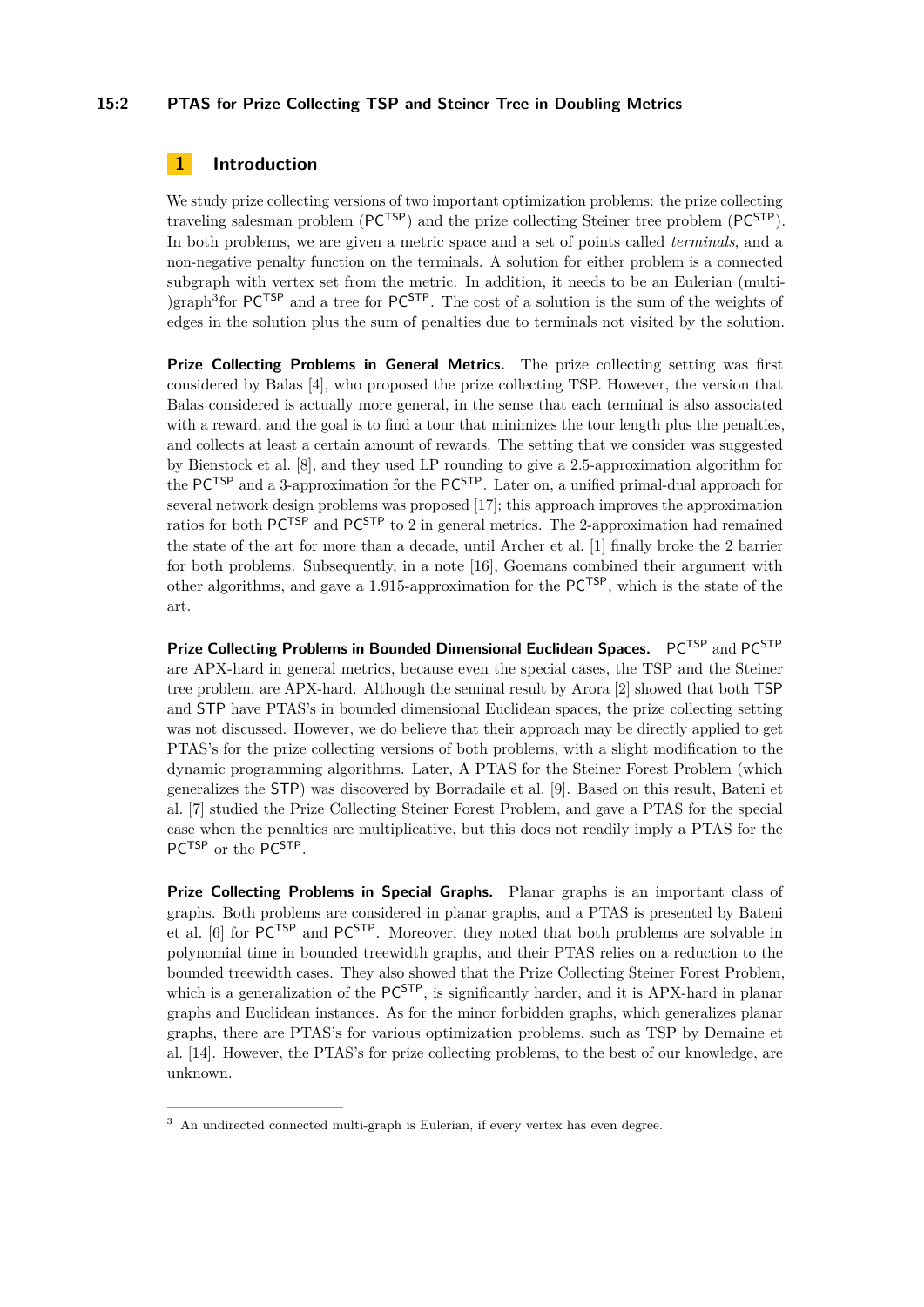## **15:2 PTAS for Prize Collecting TSP and Steiner Tree in Doubling Metrics**

# <span id="page-1-1"></span>**1 Introduction**

We study prize collecting versions of two important optimization problems: the prize collecting traveling salesman problem (PCTSP) and the prize collecting Steiner tree problem (PCSTP). In both problems, we are given a metric space and a set of points called *terminals*, and a non-negative penalty function on the terminals. A solution for either problem is a connected subgraph with vertex set from the metric. In addition, it needs to be an Eulerian (multi- )graph<sup>[3](#page-1-0)</sup> for  $PC^{TSP}$  and a tree for  $PC^{STP}$ . The cost of a solution is the sum of the weights of edges in the solution plus the sum of penalties due to terminals not visited by the solution.

**Prize Collecting Problems in General Metrics.** The prize collecting setting was first considered by Balas [\[4\]](#page-11-0), who proposed the prize collecting TSP. However, the version that Balas considered is actually more general, in the sense that each terminal is also associated with a reward, and the goal is to find a tour that minimizes the tour length plus the penalties, and collects at least a certain amount of rewards. The setting that we consider was suggested by Bienstock et al. [\[8\]](#page-12-2), and they used LP rounding to give a 2.5-approximation algorithm for the  $PC^{TSP}$  and a 3-approximation for the  $PC^{STP}$ . Later on, a unified primal-dual approach for several network design problems was proposed [\[17\]](#page-12-3); this approach improves the approximation ratios for both  $PC^{TSP}$  and  $PC^{STP}$  to 2 in general metrics. The 2-approximation had remained the state of the art for more than a decade, until Archer et al. [\[1\]](#page-11-1) finally broke the 2 barrier for both problems. Subsequently, in a note [\[16\]](#page-12-4), Goemans combined their argument with other algorithms, and gave a 1.915-approximation for the PCTSP, which is the state of the art.

**Prize Collecting Problems in Bounded Dimensional Euclidean Spaces.** PCTSP and PC<sup>STP</sup> are APX-hard in general metrics, because even the special cases, the TSP and the Steiner tree problem, are APX-hard. Although the seminal result by Arora [\[2\]](#page-11-2) showed that both TSP and STP have PTAS's in bounded dimensional Euclidean spaces, the prize collecting setting was not discussed. However, we do believe that their approach may be directly applied to get PTAS's for the prize collecting versions of both problems, with a slight modification to the dynamic programming algorithms. Later, A PTAS for the Steiner Forest Problem (which generalizes the STP) was discovered by Borradaile et al. [\[9\]](#page-12-5). Based on this result, Bateni et al. [\[7\]](#page-12-6) studied the Prize Collecting Steiner Forest Problem, and gave a PTAS for the special case when the penalties are multiplicative, but this does not readily imply a PTAS for the PC<sup>TSP</sup> or the PC<sup>STP</sup>.

**Prize Collecting Problems in Special Graphs.** Planar graphs is an important class of graphs. Both problems are considered in planar graphs, and a PTAS is presented by Bateni et al. [\[6\]](#page-12-7) for PCTSP and PCSTP. Moreover, they noted that both problems are solvable in polynomial time in bounded treewidth graphs, and their PTAS relies on a reduction to the bounded treewidth cases. They also showed that the Prize Collecting Steiner Forest Problem, which is a generalization of the  $PC^{STP}$ , is significantly harder, and it is APX-hard in planar graphs and Euclidean instances. As for the minor forbidden graphs, which generalizes planar graphs, there are PTAS's for various optimization problems, such as TSP by Demaine et al. [\[14\]](#page-12-8). However, the PTAS's for prize collecting problems, to the best of our knowledge, are unknown.

<span id="page-1-0"></span><sup>3</sup> An undirected connected multi-graph is Eulerian, if every vertex has even degree.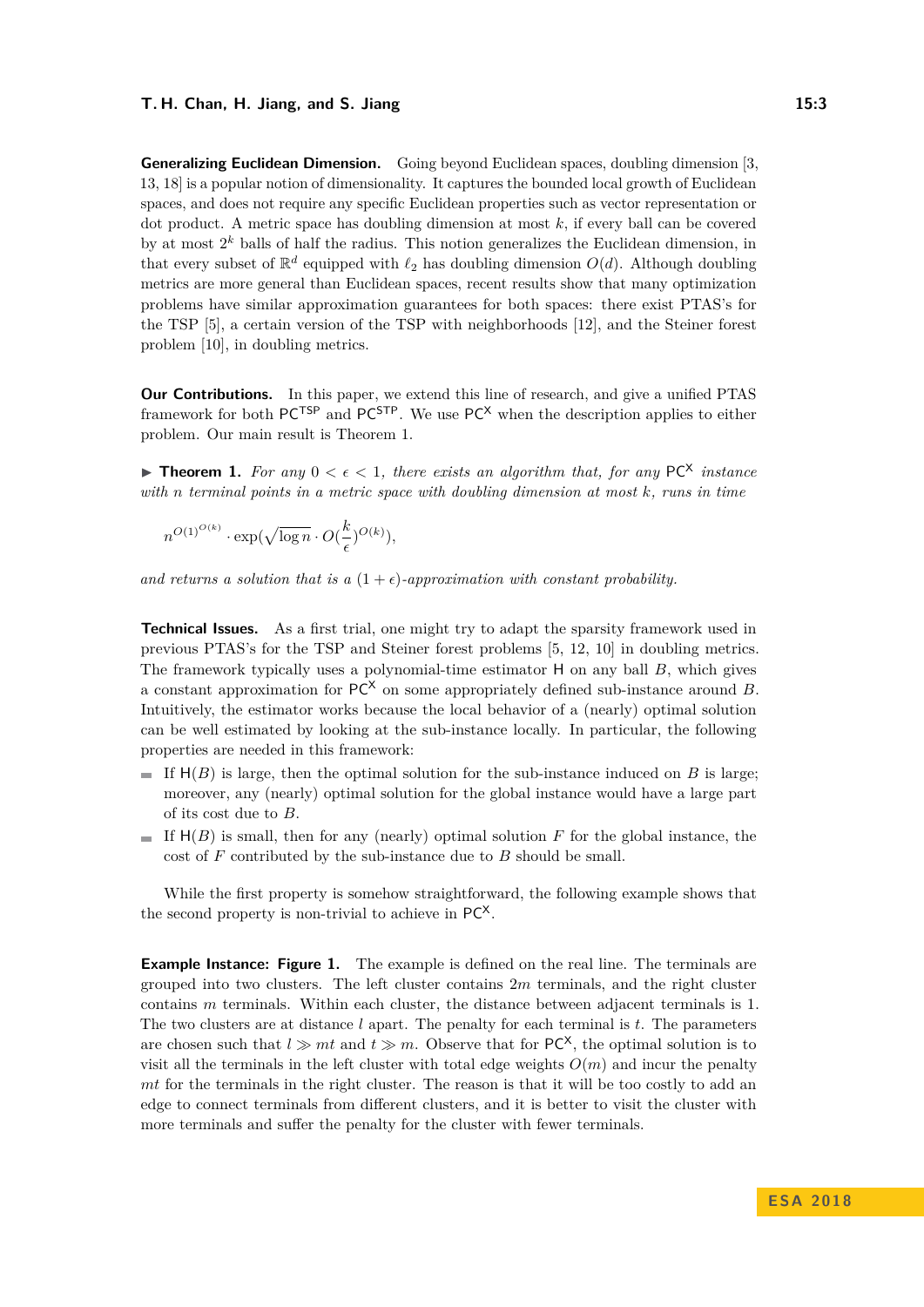**Generalizing Euclidean Dimension.** Going beyond Euclidean spaces, doubling dimension [\[3,](#page-11-3) [13,](#page-12-9) [18\]](#page-12-10) is a popular notion of dimensionality. It captures the bounded local growth of Euclidean spaces, and does not require any specific Euclidean properties such as vector representation or dot product. A metric space has doubling dimension at most *k*, if every ball can be covered by at most 2 *<sup>k</sup>* balls of half the radius. This notion generalizes the Euclidean dimension, in that every subset of  $\mathbb{R}^d$  equipped with  $\ell_2$  has doubling dimension  $O(d)$ . Although doubling metrics are more general than Euclidean spaces, recent results show that many optimization problems have similar approximation guarantees for both spaces: there exist PTAS's for the TSP [\[5\]](#page-11-4), a certain version of the TSP with neighborhoods [\[12\]](#page-12-11), and the Steiner forest problem [\[10\]](#page-12-12), in doubling metrics.

**Our Contributions.** In this paper, we extend this line of research, and give a unified PTAS framework for both  $PC^{TSP}$  and  $PC^{STP}$ . We use  $PC^X$  when the description applies to either problem. Our main result is Theorem [1.](#page-2-0)

<span id="page-2-0"></span>**Theorem 1.** For any  $0 < \epsilon < 1$ , there exists an algorithm that, for any PC<sup>X</sup> instance *with n terminal points in a metric space with doubling dimension at most k, runs in time*

$$
n^{O(1)^{O(k)}} \cdot \exp(\sqrt{\log n} \cdot O(\frac{k}{\epsilon})^{O(k)}),
$$

and returns a solution that is a  $(1+\epsilon)$ -approximation with constant probability.

**Technical Issues.** As a first trial, one might try to adapt the sparsity framework used in previous PTAS's for the TSP and Steiner forest problems [\[5,](#page-11-4) [12,](#page-12-11) [10\]](#page-12-12) in doubling metrics. The framework typically uses a polynomial-time estimator H on any ball *B*, which gives a constant approximation for  $PC^X$  on some appropriately defined sub-instance around *B*. Intuitively, the estimator works because the local behavior of a (nearly) optimal solution can be well estimated by looking at the sub-instance locally. In particular, the following properties are needed in this framework:

- If  $H(B)$  is large, then the optimal solution for the sub-instance induced on *B* is large; moreover, any (nearly) optimal solution for the global instance would have a large part of its cost due to *B*.
- If  $H(B)$  is small, then for any (nearly) optimal solution  $F$  for the global instance, the cost of *F* contributed by the sub-instance due to *B* should be small.

While the first property is somehow straightforward, the following example shows that the second property is non-trivial to achieve in PC<sup>X</sup>.

**Example Instance: Figure [1.](#page-3-0)** The example is defined on the real line. The terminals are grouped into two clusters. The left cluster contains 2*m* terminals, and the right cluster contains *m* terminals. Within each cluster, the distance between adjacent terminals is 1. The two clusters are at distance *l* apart. The penalty for each terminal is *t*. The parameters are chosen such that  $l \gg mt$  and  $t \gg m$ . Observe that for  $PC^X$ , the optimal solution is to visit all the terminals in the left cluster with total edge weights  $O(m)$  and incur the penalty *mt* for the terminals in the right cluster. The reason is that it will be too costly to add an edge to connect terminals from different clusters, and it is better to visit the cluster with more terminals and suffer the penalty for the cluster with fewer terminals.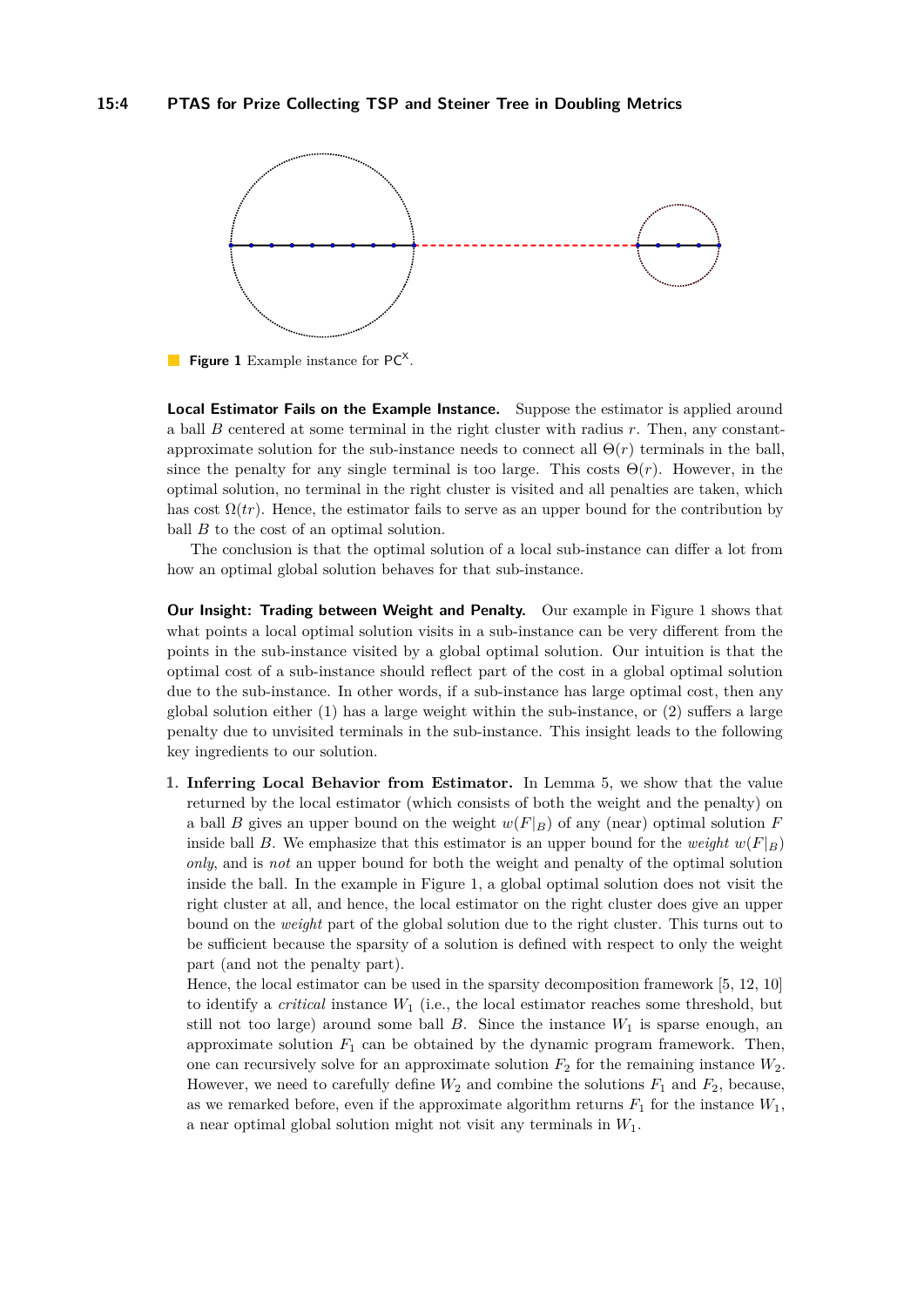<span id="page-3-0"></span>

Figure 1 Example instance for PC<sup>X</sup>.

**Local Estimator Fails on the Example Instance.** Suppose the estimator is applied around a ball *B* centered at some terminal in the right cluster with radius *r*. Then, any constantapproximate solution for the sub-instance needs to connect all  $\Theta(r)$  terminals in the ball, since the penalty for any single terminal is too large. This costs  $\Theta(r)$ . However, in the optimal solution, no terminal in the right cluster is visited and all penalties are taken, which has cost  $\Omega(tr)$ . Hence, the estimator fails to serve as an upper bound for the contribution by ball *B* to the cost of an optimal solution.

The conclusion is that the optimal solution of a local sub-instance can differ a lot from how an optimal global solution behaves for that sub-instance.

**Our Insight: Trading between Weight and Penalty.** Our example in Figure [1](#page-3-0) shows that what points a local optimal solution visits in a sub-instance can be very different from the points in the sub-instance visited by a global optimal solution. Our intuition is that the optimal cost of a sub-instance should reflect part of the cost in a global optimal solution due to the sub-instance. In other words, if a sub-instance has large optimal cost, then any global solution either  $(1)$  has a large weight within the sub-instance, or  $(2)$  suffers a large penalty due to unvisited terminals in the sub-instance. This insight leads to the following key ingredients to our solution.

**1. Inferring Local Behavior from Estimator.** In Lemma [5,](#page-9-0) we show that the value returned by the local estimator (which consists of both the weight and the penalty) on a ball *B* gives an upper bound on the weight  $w(F|_B)$  of any (near) optimal solution *F* inside ball *B*. We emphasize that this estimator is an upper bound for the *weight*  $w(F|_B)$ *only*, and is *not* an upper bound for both the weight and penalty of the optimal solution inside the ball. In the example in Figure [1,](#page-3-0) a global optimal solution does not visit the right cluster at all, and hence, the local estimator on the right cluster does give an upper bound on the *weight* part of the global solution due to the right cluster. This turns out to be sufficient because the sparsity of a solution is defined with respect to only the weight part (and not the penalty part).

Hence, the local estimator can be used in the sparsity decomposition framework [\[5,](#page-11-4) [12,](#page-12-11) [10\]](#page-12-12) to identify a *critical* instance *W*<sup>1</sup> (i.e., the local estimator reaches some threshold, but still not too large) around some ball  $B$ . Since the instance  $W_1$  is sparse enough, an approximate solution  $F_1$  can be obtained by the dynamic program framework. Then, one can recursively solve for an approximate solution  $F_2$  for the remaining instance  $W_2$ . However, we need to carefully define  $W_2$  and combine the solutions  $F_1$  and  $F_2$ , because, as we remarked before, even if the approximate algorithm returns  $F_1$  for the instance  $W_1$ , a near optimal global solution might not visit any terminals in *W*1.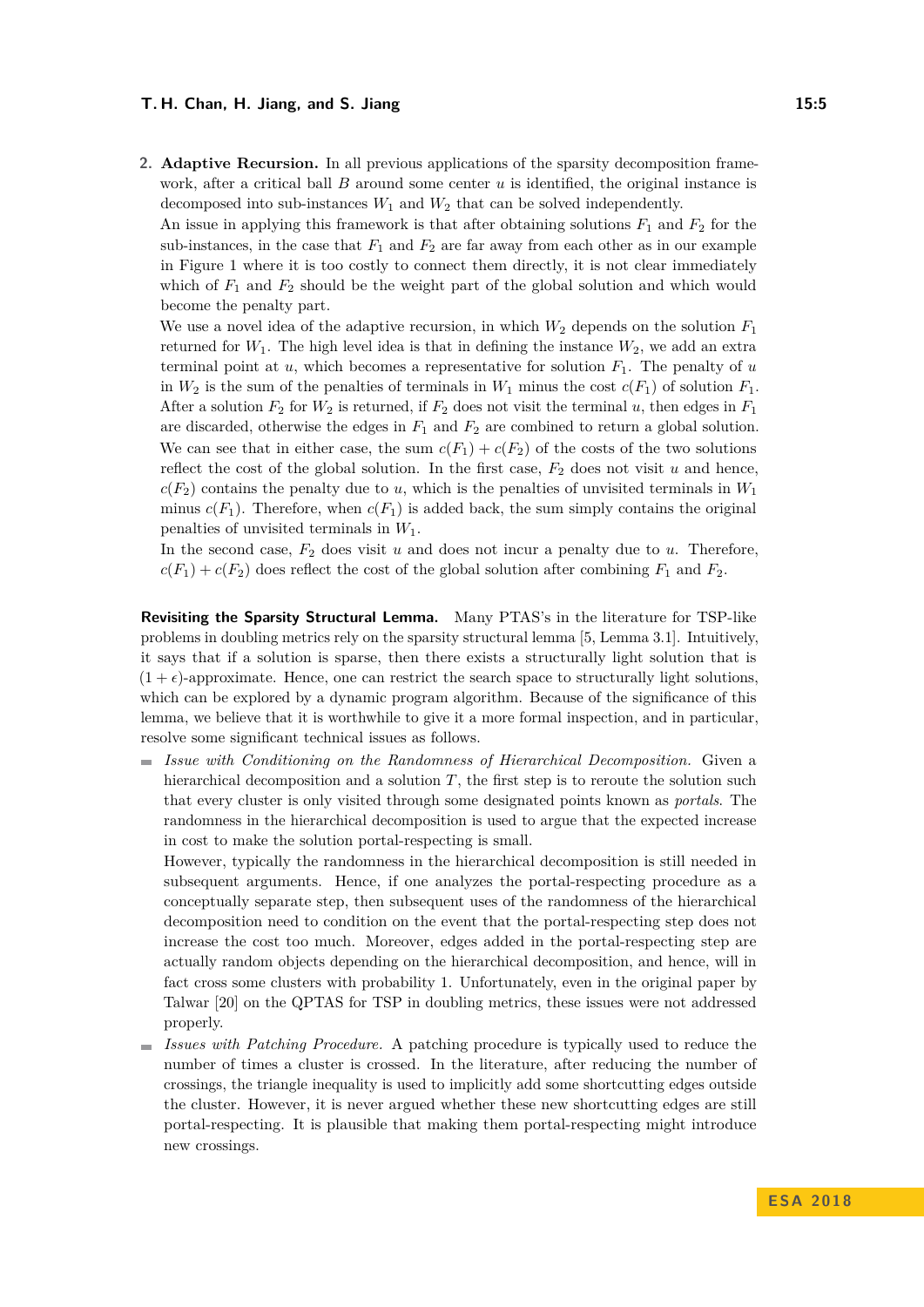**2. Adaptive Recursion.** In all previous applications of the sparsity decomposition framework, after a critical ball *B* around some center *u* is identified, the original instance is decomposed into sub-instances  $W_1$  and  $W_2$  that can be solved independently.

An issue in applying this framework is that after obtaining solutions  $F_1$  and  $F_2$  for the sub-instances, in the case that  $F_1$  and  $F_2$  are far away from each other as in our example in Figure [1](#page-3-0) where it is too costly to connect them directly, it is not clear immediately which of  $F_1$  and  $F_2$  should be the weight part of the global solution and which would become the penalty part.

We use a novel idea of the adaptive recursion, in which  $W_2$  depends on the solution  $F_1$ returned for  $W_1$ . The high level idea is that in defining the instance  $W_2$ , we add an extra terminal point at  $u$ , which becomes a representative for solution  $F_1$ . The penalty of  $u$ in  $W_2$  is the sum of the penalties of terminals in  $W_1$  minus the cost  $c(F_1)$  of solution  $F_1$ . After a solution  $F_2$  for  $W_2$  is returned, if  $F_2$  does not visit the terminal *u*, then edges in  $F_1$ are discarded, otherwise the edges in *F*<sup>1</sup> and *F*<sup>2</sup> are combined to return a global solution. We can see that in either case, the sum  $c(F_1) + c(F_2)$  of the costs of the two solutions reflect the cost of the global solution. In the first case,  $F_2$  does not visit  $u$  and hence,  $c(F_2)$  contains the penalty due to *u*, which is the penalties of unvisited terminals in *W*<sub>1</sub> minus  $c(F_1)$ . Therefore, when  $c(F_1)$  is added back, the sum simply contains the original penalties of unvisited terminals in *W*1.

In the second case,  $F_2$  does visit  $u$  and does not incur a penalty due to  $u$ . Therefore,  $c(F_1) + c(F_2)$  does reflect the cost of the global solution after combining  $F_1$  and  $F_2$ .

**Revisiting the Sparsity Structural Lemma.** Many PTAS's in the literature for TSP-like problems in doubling metrics rely on the sparsity structural lemma [\[5,](#page-11-4) Lemma 3.1]. Intuitively, it says that if a solution is sparse, then there exists a structurally light solution that is  $(1 + \epsilon)$ -approximate. Hence, one can restrict the search space to structurally light solutions, which can be explored by a dynamic program algorithm. Because of the significance of this lemma, we believe that it is worthwhile to give it a more formal inspection, and in particular, resolve some significant technical issues as follows.

*Issue with Conditioning on the Randomness of Hierarchical Decomposition.* Given a hierarchical decomposition and a solution *T*, the first step is to reroute the solution such that every cluster is only visited through some designated points known as *portals*. The randomness in the hierarchical decomposition is used to argue that the expected increase in cost to make the solution portal-respecting is small.

However, typically the randomness in the hierarchical decomposition is still needed in subsequent arguments. Hence, if one analyzes the portal-respecting procedure as a conceptually separate step, then subsequent uses of the randomness of the hierarchical decomposition need to condition on the event that the portal-respecting step does not increase the cost too much. Moreover, edges added in the portal-respecting step are actually random objects depending on the hierarchical decomposition, and hence, will in fact cross some clusters with probability 1. Unfortunately, even in the original paper by Talwar [\[20\]](#page-12-13) on the QPTAS for TSP in doubling metrics, these issues were not addressed properly.

*Issues with Patching Procedure.* A patching procedure is typically used to reduce the  $\blacksquare$ number of times a cluster is crossed. In the literature, after reducing the number of crossings, the triangle inequality is used to implicitly add some shortcutting edges outside the cluster. However, it is never argued whether these new shortcutting edges are still portal-respecting. It is plausible that making them portal-respecting might introduce new crossings.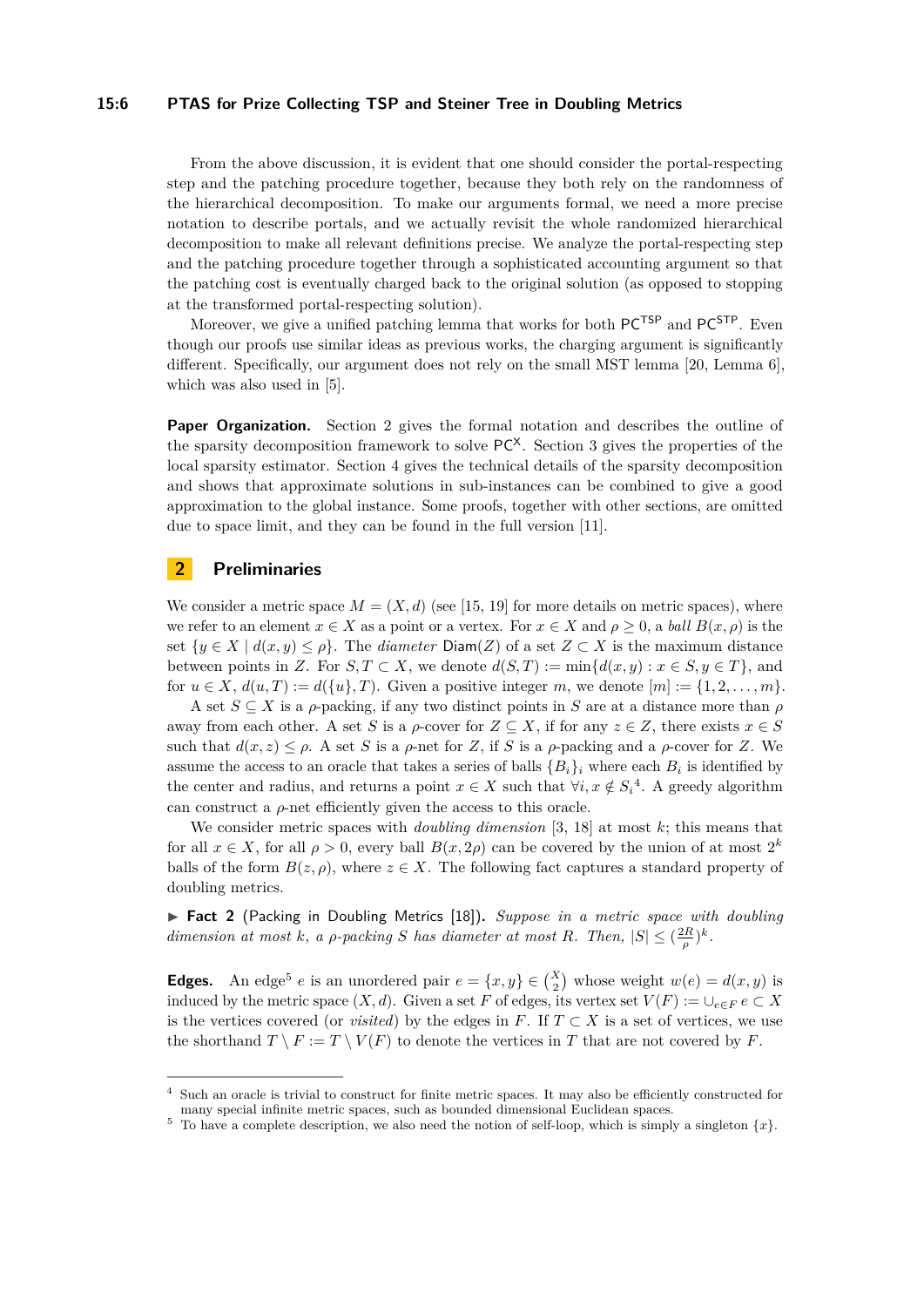#### **15:6 PTAS for Prize Collecting TSP and Steiner Tree in Doubling Metrics**

From the above discussion, it is evident that one should consider the portal-respecting step and the patching procedure together, because they both rely on the randomness of the hierarchical decomposition. To make our arguments formal, we need a more precise notation to describe portals, and we actually revisit the whole randomized hierarchical decomposition to make all relevant definitions precise. We analyze the portal-respecting step and the patching procedure together through a sophisticated accounting argument so that the patching cost is eventually charged back to the original solution (as opposed to stopping at the transformed portal-respecting solution).

Moreover, we give a unified patching lemma that works for both  $PC^{TSP}$  and  $PC^{STP}$ . Even though our proofs use similar ideas as previous works, the charging argument is significantly different. Specifically, our argument does not rely on the small MST lemma [\[20,](#page-12-13) Lemma 6], which was also used in [\[5\]](#page-11-4).

**Paper Organization.** Section [2](#page-5-0) gives the formal notation and describes the outline of the sparsity decomposition framework to solve  $PC^X$ . Section [3](#page-8-0) gives the properties of the local sparsity estimator. Section [4](#page-10-0) gives the technical details of the sparsity decomposition and shows that approximate solutions in sub-instances can be combined to give a good approximation to the global instance. Some proofs, together with other sections, are omitted due to space limit, and they can be found in the full version [\[11\]](#page-12-0).

# <span id="page-5-0"></span>**2 Preliminaries**

We consider a metric space  $M = (X, d)$  (see [\[15,](#page-12-14) [19\]](#page-12-15) for more details on metric spaces), where we refer to an element  $x \in X$  as a point or a vertex. For  $x \in X$  and  $\rho \geq 0$ , a *ball*  $B(x, \rho)$  is the set  $\{y \in X \mid d(x, y) \leq \rho\}$ . The *diameter* Diam(*Z*) of a set  $Z \subset X$  is the maximum distance between points in *Z*. For *S, T* ⊂ *X*, we denote  $d(S,T) := \min\{d(x,y): x \in S, y \in T\}$ , and for  $u \in X$ ,  $d(u, T) := d({u}, T)$ . Given a positive integer *m*, we denote  $[m] := {1, 2, \ldots, m}$ .

A set  $S \subseteq X$  is a *ρ*-packing, if any two distinct points in *S* are at a distance more than *ρ* away from each other. A set *S* is a *ρ*-cover for  $Z \subseteq X$ , if for any  $z \in Z$ , there exists  $x \in S$ such that  $d(x, z) \leq \rho$ . A set *S* is a  $\rho$ -net for *Z*, if *S* is a  $\rho$ -packing and a  $\rho$ -cover for *Z*. We assume the access to an oracle that takes a series of balls  ${B_i}_i$  where each  $B_i$  is identified by the center and radius, and returns a point  $x \in X$  such that  $\forall i, x \notin S_i^4$  $\forall i, x \notin S_i^4$ . A greedy algorithm can construct a  $\rho$ -net efficiently given the access to this oracle.

We consider metric spaces with *doubling dimension* [\[3,](#page-11-3) [18\]](#page-12-10) at most *k*; this means that for all  $x \in X$ , for all  $\rho > 0$ , every ball  $B(x, 2\rho)$  can be covered by the union of at most  $2^k$ balls of the form  $B(z, \rho)$ , where  $z \in X$ . The following fact captures a standard property of doubling metrics.

<span id="page-5-3"></span>▶ Fact 2 (Packing in Doubling Metrics [\[18\]](#page-12-10)). *Suppose in a metric space with doubling dimension at most k, a ρ*-*packing S has diameter at most R. Then,*  $|S| \leq (\frac{2R}{\rho})^k$ *.* 

**Edges.** An edge<sup>[5](#page-5-2)</sup> *e* is an unordered pair  $e = \{x, y\} \in \binom{X}{2}$  whose weight  $w(e) = d(x, y)$  is induced by the metric space  $(X, d)$ . Given a set *F* of edges, its vertex set  $V(F) := \bigcup_{e \in F} e \subset X$ is the vertices covered (or *visited*) by the edges in  $F$ . If  $T \subset X$  is a set of vertices, we use the shorthand  $T \setminus F := T \setminus V(F)$  to denote the vertices in *T* that are not covered by *F*.

<span id="page-5-1"></span>Such an oracle is trivial to construct for finite metric spaces. It may also be efficiently constructed for many special infinite metric spaces, such as bounded dimensional Euclidean spaces.

<span id="page-5-2"></span> $5$  To have a complete description, we also need the notion of self-loop, which is simply a singleton  $\{x\}$ .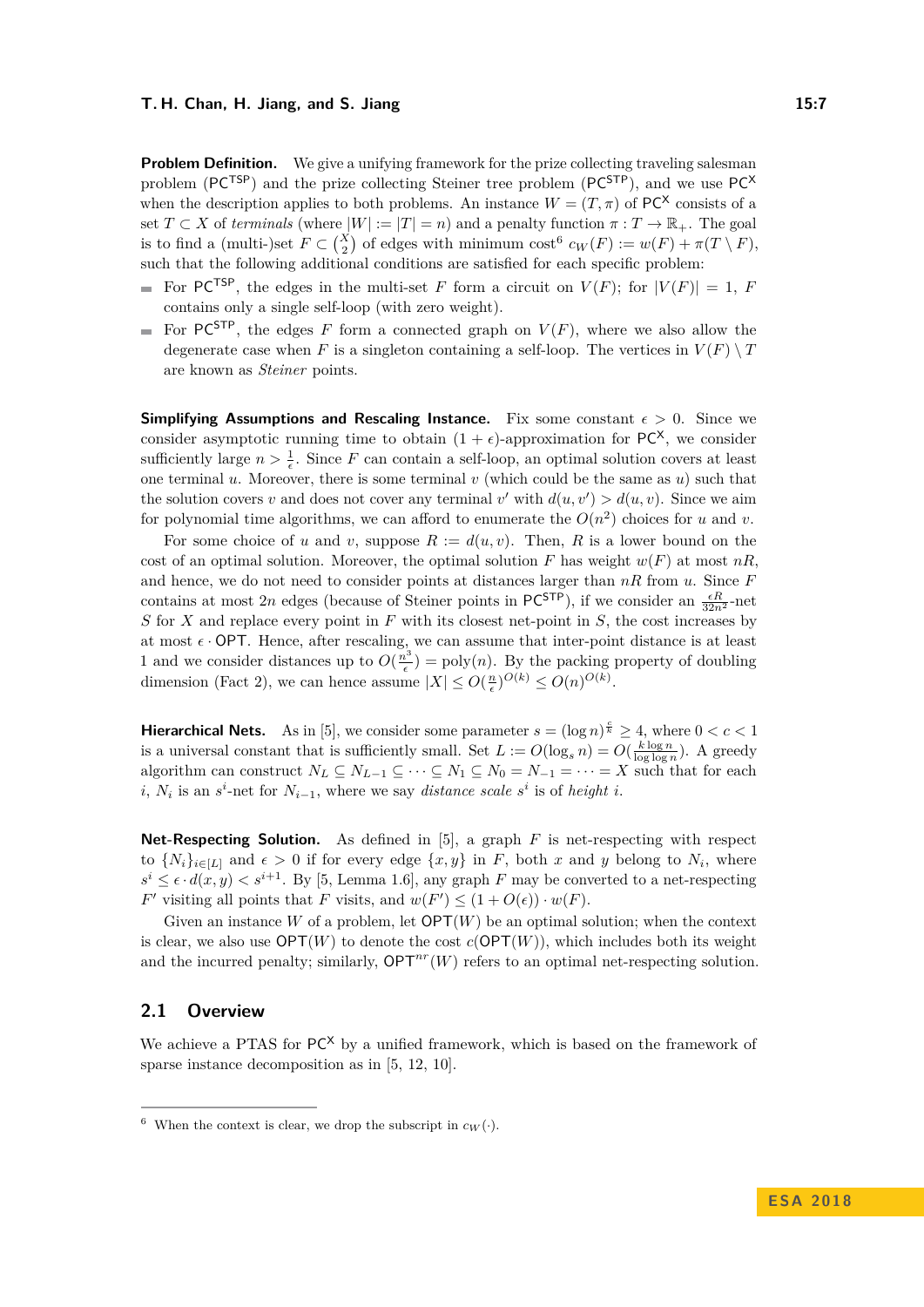**Problem Definition.** We give a unifying framework for the prize collecting traveling salesman problem ( $PC^{TSP}$ ) and the prize collecting Steiner tree problem ( $PC^{STP}$ ), and we use  $PC^{X}$ when the description applies to both problems. An instance  $W = (T, \pi)$  of PC<sup>X</sup> consists of a set  $T \subset X$  of *terminals* (where  $|W| := |T| = n$ ) and a penalty function  $\pi : T \to \mathbb{R}_+$ . The goal is to find a (multi-)set  $F \subset {X \choose 2}$  of edges with minimum cost<sup>[6](#page-6-0)</sup>  $c_W(F) := w(F) + \pi(T \setminus F)$ , such that the following additional conditions are satisfied for each specific problem:

- For PC<sup>TSP</sup>, the edges in the multi-set *F* form a circuit on  $V(F)$ ; for  $|V(F)| = 1$ , *F* contains only a single self-loop (with zero weight).
- For PC<sup>STP</sup>, the edges *F* form a connected graph on  $V(F)$ , where we also allow the  $\blacksquare$ degenerate case when *F* is a singleton containing a self-loop. The vertices in  $V(F) \setminus T$ are known as *Steiner* points.

**Simplifying Assumptions and Rescaling Instance.** Fix some constant  $\epsilon > 0$ . Since we consider asymptotic running time to obtain  $(1 + \epsilon)$ -approximation for PC<sup>X</sup>, we consider sufficiently large  $n > \frac{1}{\epsilon}$ . Since *F* can contain a self-loop, an optimal solution covers at least one terminal  $u$ . Moreover, there is some terminal  $v$  (which could be the same as  $u$ ) such that the solution covers *v* and does not cover any terminal *v*' with  $d(u, v') > d(u, v)$ . Since we aim for polynomial time algorithms, we can afford to enumerate the  $O(n^2)$  choices for *u* and *v*.

For some choice of *u* and *v*, suppose  $R := d(u, v)$ . Then, R is a lower bound on the cost of an optimal solution. Moreover, the optimal solution *F* has weight  $w(F)$  at most  $nR$ . and hence, we do not need to consider points at distances larger than *nR* from *u*. Since *F* contains at most 2*n* edges (because of Steiner points in PC<sup>STP</sup>), if we consider an  $\frac{\epsilon R}{32n^2}$ -net *S* for *X* and replace every point in *F* with its closest net-point in *S*, the cost increases by at most  $\epsilon$  · OPT. Hence, after rescaling, we can assume that inter-point distance is at least 1 and we consider distances up to  $O(\frac{n^3}{\epsilon})$  $\left(\frac{b^2}{\epsilon}\right)$  = poly(*n*). By the packing property of doubling dimension (Fact [2\)](#page-5-3), we can hence assume  $|X| \le O(\frac{n}{\epsilon})^{O(k)} \le O(n)^{O(k)}$ .

**Hierarchical Nets.** As in [\[5\]](#page-11-4), we consider some parameter  $s = (\log n)^{\frac{c}{k}} \geq 4$ , where  $0 < c < 1$ is a universal constant that is sufficiently small. Set  $L := O(\log_s n) = O(\frac{k \log n}{\log \log n})$ . A greedy algorithm can construct  $N_L \subseteq N_{L-1} \subseteq \cdots \subseteq N_1 \subseteq N_0 = N_{-1} = \cdots = X$  such that for each *i*,  $N_i$  is an *s*<sup>*i*</sup>-net for  $N_{i-1}$ , where we say *distance scale s*<sup>*i*</sup> is of *height i*.

**Net-Respecting Solution.** As defined in [\[5\]](#page-11-4), a graph *F* is net-respecting with respect to  $\{N_i\}_{i\in[L]}$  and  $\epsilon > 0$  if for every edge  $\{x, y\}$  in *F*, both *x* and *y* belong to  $N_i$ , where  $s^i \leq \epsilon \cdot d(x, y) < s^{i+1}$ . By [\[5,](#page-11-4) Lemma 1.6], any graph *F* may be converted to a net-respecting *F*<sup> $\prime$ </sup> visiting all points that *F* visits, and  $w(F') \leq (1 + O(\epsilon)) \cdot w(F)$ .

Given an instance  $W$  of a problem, let  $\mathsf{OPT}(W)$  be an optimal solution; when the context is clear, we also use  $\mathsf{OPT}(W)$  to denote the cost  $c(\mathsf{OPT}(W))$ , which includes both its weight and the incurred penalty; similarly,  $\mathsf{OPT}^{nr}(W)$  refers to an optimal net-respecting solution.

# <span id="page-6-1"></span>**2.1 Overview**

We achieve a PTAS for  $PC^X$  by a unified framework, which is based on the framework of sparse instance decomposition as in [\[5,](#page-11-4) [12,](#page-12-11) [10\]](#page-12-12).

<span id="page-6-0"></span><sup>&</sup>lt;sup>6</sup> When the context is clear, we drop the subscript in  $c_W(\cdot)$ .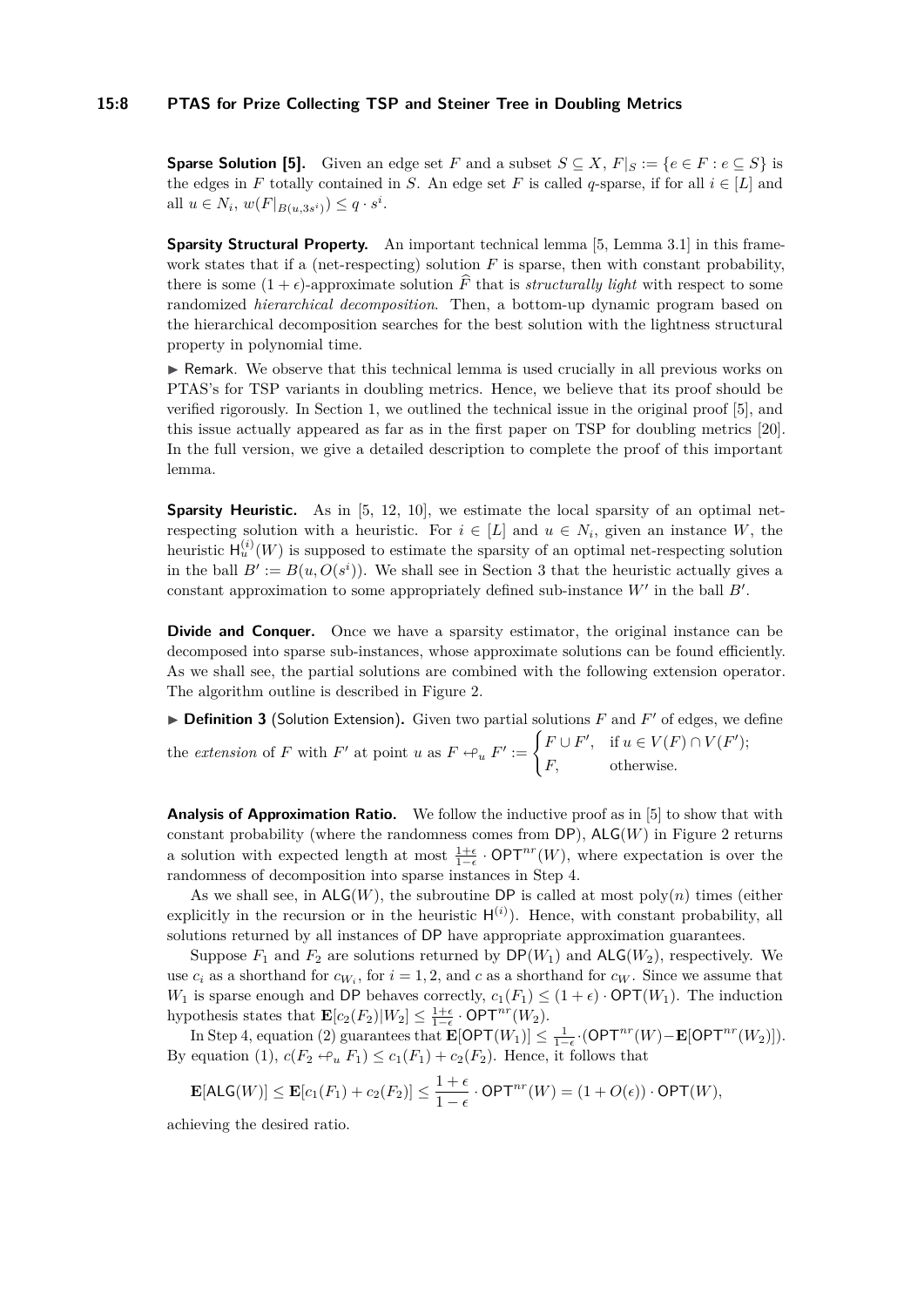#### **15:8 PTAS for Prize Collecting TSP and Steiner Tree in Doubling Metrics**

**Sparse Solution [\[5\]](#page-11-4).** Given an edge set *F* and a subset  $S \subseteq X$ ,  $F|_S := \{e \in F : e \subseteq S\}$  is the edges in *F* totally contained in *S*. An edge set *F* is called *q*-sparse, if for all  $i \in [L]$  and all  $u \in N_i$ ,  $w(F|_{B(u,3s^i)}) \leq q \cdot s^i$ .

**Sparsity Structural Property.** An important technical lemma [\[5,](#page-11-4) Lemma 3.1] in this framework states that if a (net-respecting) solution  $F$  is sparse, then with constant probability, there is some  $(1 + \epsilon)$ -approximate solution  $\widehat{F}$  that is *structurally light* with respect to some randomized *hierarchical decomposition*. Then, a bottom-up dynamic program based on the hierarchical decomposition searches for the best solution with the lightness structural property in polynomial time.

 $\triangleright$  Remark. We observe that this technical lemma is used crucially in all previous works on PTAS's for TSP variants in doubling metrics. Hence, we believe that its proof should be verified rigorously. In Section [1,](#page-1-1) we outlined the technical issue in the original proof [\[5\]](#page-11-4), and this issue actually appeared as far as in the first paper on TSP for doubling metrics [\[20\]](#page-12-13). In the full version, we give a detailed description to complete the proof of this important lemma.

**Sparsity Heuristic.** As in [\[5,](#page-11-4) [12,](#page-12-11) [10\]](#page-12-12), we estimate the local sparsity of an optimal netrespecting solution with a heuristic. For  $i \in [L]$  and  $u \in N_i$ , given an instance *W*, the heuristic  $\mathsf{H}^{(i)}_u(W)$  is supposed to estimate the sparsity of an optimal net-respecting solution in the ball  $B' := B(u, O(s<sup>i</sup>))$ . We shall see in Section [3](#page-8-0) that the heuristic actually gives a constant approximation to some appropriately defined sub-instance  $W'$  in the ball  $B'$ .

**Divide and Conquer.** Once we have a sparsity estimator, the original instance can be decomposed into sparse sub-instances, whose approximate solutions can be found efficiently. As we shall see, the partial solutions are combined with the following extension operator. The algorithm outline is described in Figure [2.](#page-8-1)

 $\triangleright$  **Definition 3** (Solution Extension). Given two partial solutions *F* and *F'* of edges, we define the *extension* of *F* with *F'* at point *u* as  $F \leftarrow u F' := \begin{cases} F \cup F', & \text{if } u \in V(F) \cap V(F'); \\ \Gamma, & \text{if } u \in V(F) \cap V(F') \end{cases}$ *F,* otherwise*.*

**Analysis of Approximation Ratio.** We follow the inductive proof as in [\[5\]](#page-11-4) to show that with constant probability (where the randomness comes from  $DP$ ),  $\mathsf{ALG}(W)$  in Figure [2](#page-8-1) returns a solution with expected length at most  $\frac{1+\epsilon}{1-\epsilon}$ . OPT<sup>*nr*</sup>(*W*), where expectation is over the randomness of decomposition into sparse instances in Step 4.

As we shall see, in  $\mathsf{ALG}(W)$ , the subroutine DP is called at most poly $(n)$  times (either explicitly in the recursion or in the heuristic  $H^{(i)}$ ). Hence, with constant probability, all solutions returned by all instances of DP have appropriate approximation guarantees.

Suppose  $F_1$  and  $F_2$  are solutions returned by  $DP(W_1)$  and  $ALG(W_2)$ , respectively. We use  $c_i$  as a shorthand for  $c_{W_i}$ , for  $i = 1, 2$ , and  $c$  as a shorthand for  $c_W$ . Since we assume that *W*<sub>1</sub> is sparse enough and DP behaves correctly,  $c_1(F_1) \leq (1 + \epsilon) \cdot \text{OPT}(W_1)$ . The induction hypothesis states that  $\mathbf{E}[c_2(F_2)|W_2] \leq \frac{1+\epsilon}{1-\epsilon} \cdot \mathsf{OPT}^{nr}(W_2)$ .

In Step 4, equation [\(2\)](#page-8-2) guarantees that  $\mathbf{E}[\mathsf{OPT}(W_1)] \leq \frac{1}{1-\epsilon} \cdot (\mathsf{OPT}^{nr}(W) - \mathbf{E}[\mathsf{OPT}^{nr}(W_2)]).$ By equation [\(1\)](#page-8-3),  $c(F_2 \leftarrow_u F_1) \leq c_1(F_1) + c_2(F_2)$ . Hence, it follows that

$$
\mathbf{E}[\mathsf{ALG}(W)] \le \mathbf{E}[c_1(F_1) + c_2(F_2)] \le \frac{1+\epsilon}{1-\epsilon} \cdot \mathsf{OPT}^{nr}(W) = (1+O(\epsilon)) \cdot \mathsf{OPT}(W),
$$

achieving the desired ratio.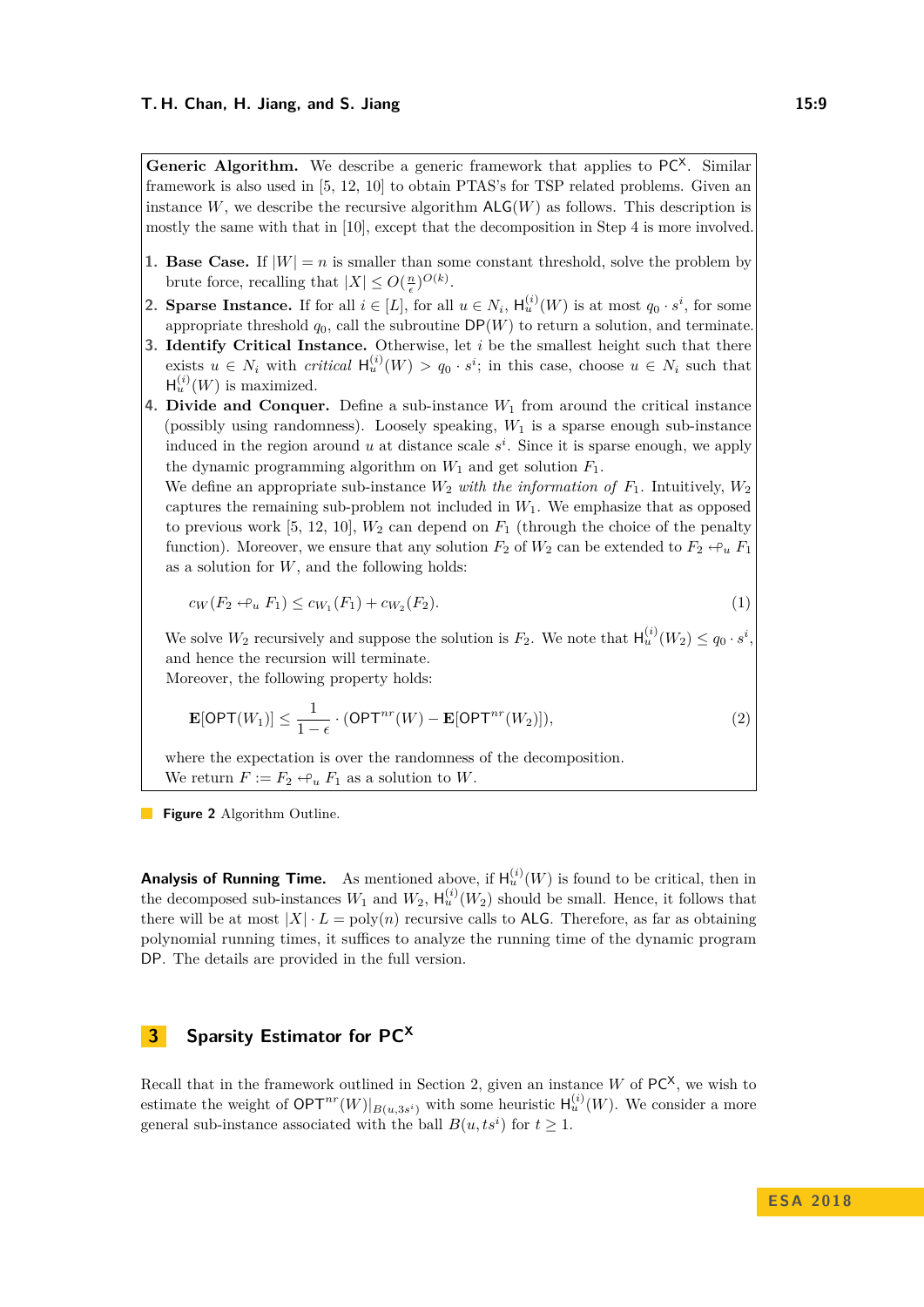<span id="page-8-1"></span>**Generic Algorithm.** We describe a generic framework that applies to  $PC^{\chi}$ . Similar framework is also used in [\[5,](#page-11-4) [12,](#page-12-11) [10\]](#page-12-12) to obtain PTAS's for TSP related problems. Given an instance  $W$ , we describe the recursive algorithm  $\mathsf{ALG}(W)$  as follows. This description is mostly the same with that in [\[10\]](#page-12-12), except that the decomposition in Step 4 is more involved.

- **1. Base Case.** If  $|W| = n$  is smaller than some constant threshold, solve the problem by brute force, recalling that  $|X| \leq O(\frac{n}{\epsilon})^{O(k)}$ .
- **2. Sparse Instance.** If for all  $i \in [L]$ , for all  $u \in N_i$ ,  $H_u^{(i)}(W)$  is at most  $q_0 \cdot s^i$ , for some appropriate threshold  $q_0$ , call the subroutine  $DP(W)$  to return a solution, and terminate.
- **3. Identify Critical Instance.** Otherwise, let *i* be the smallest height such that there exists  $u \in N_i$  with *critical*  $H_u^{(i)}(W) > q_0 \cdot s^i$ ; in this case, choose  $u \in N_i$  such that  $H_u^{(i)}(W)$  is maximized.
- **4. Divide and Conquer.** Define a sub-instance *W*<sup>1</sup> from around the critical instance (possibly using randomness). Loosely speaking, *W*<sup>1</sup> is a sparse enough sub-instance induced in the region around  $u$  at distance scale  $s^i$ . Since it is sparse enough, we apply the dynamic programming algorithm on  $W_1$  and get solution  $F_1$ .

We define an appropriate sub-instance  $W_2$  *with the information of*  $F_1$ . Intuitively,  $W_2$ captures the remaining sub-problem not included in  $W_1$ . We emphasize that as opposed to previous work [\[5,](#page-11-4) [12,](#page-12-11) [10\]](#page-12-12),  $W_2$  can depend on  $F_1$  (through the choice of the penalty function). Moreover, we ensure that any solution  $F_2$  of  $W_2$  can be extended to  $F_2 \leftrightarrow_u F_1$ as a solution for *W*, and the following holds:

<span id="page-8-3"></span>
$$
c_W(F_2 \leftrightarrow_u F_1) \leq c_{W_1}(F_1) + c_{W_2}(F_2). \tag{1}
$$

We solve  $W_2$  recursively and suppose the solution is  $F_2$ . We note that  $\mathsf{H}_u^{(i)}(W_2) \leq q_0 \cdot s^i$ , and hence the recursion will terminate.

Moreover, the following property holds:

<span id="page-8-2"></span>
$$
\mathbf{E}[\mathsf{OPT}(W_1)] \le \frac{1}{1-\epsilon} \cdot (\mathsf{OPT}^{nr}(W) - \mathbf{E}[\mathsf{OPT}^{nr}(W_2)]),\tag{2}
$$

where the expectation is over the randomness of the decomposition. We return  $F := F_2 \leftrightarrow_u F_1$  as a solution to *W*.

**Figure 2** Algorithm Outline.

**Analysis of Running Time.** As mentioned above, if  $H_u^{(i)}(W)$  is found to be critical, then in the decomposed sub-instances  $W_1$  and  $W_2$ ,  $H_u^{(i)}(W_2)$  should be small. Hence, it follows that there will be at most  $|X| \cdot L = \text{poly}(n)$  recursive calls to **ALG**. Therefore, as far as obtaining polynomial running times, it suffices to analyze the running time of the dynamic program DP. The details are provided in the full version.

# <span id="page-8-0"></span>**3 Sparsity Estimator for PC<sup>X</sup>**

Recall that in the framework outlined in Section [2,](#page-5-0) given an instance *W* of  $PC^X$ , we wish to estimate the weight of  $\mathsf{OPT}^{nr}(W)|_{B(u,3s^i)}$  with some heuristic  $\mathsf{H}^{(i)}_u(W)$ . We consider a more general sub-instance associated with the ball  $B(u, ts^i)$  for  $t \geq 1$ .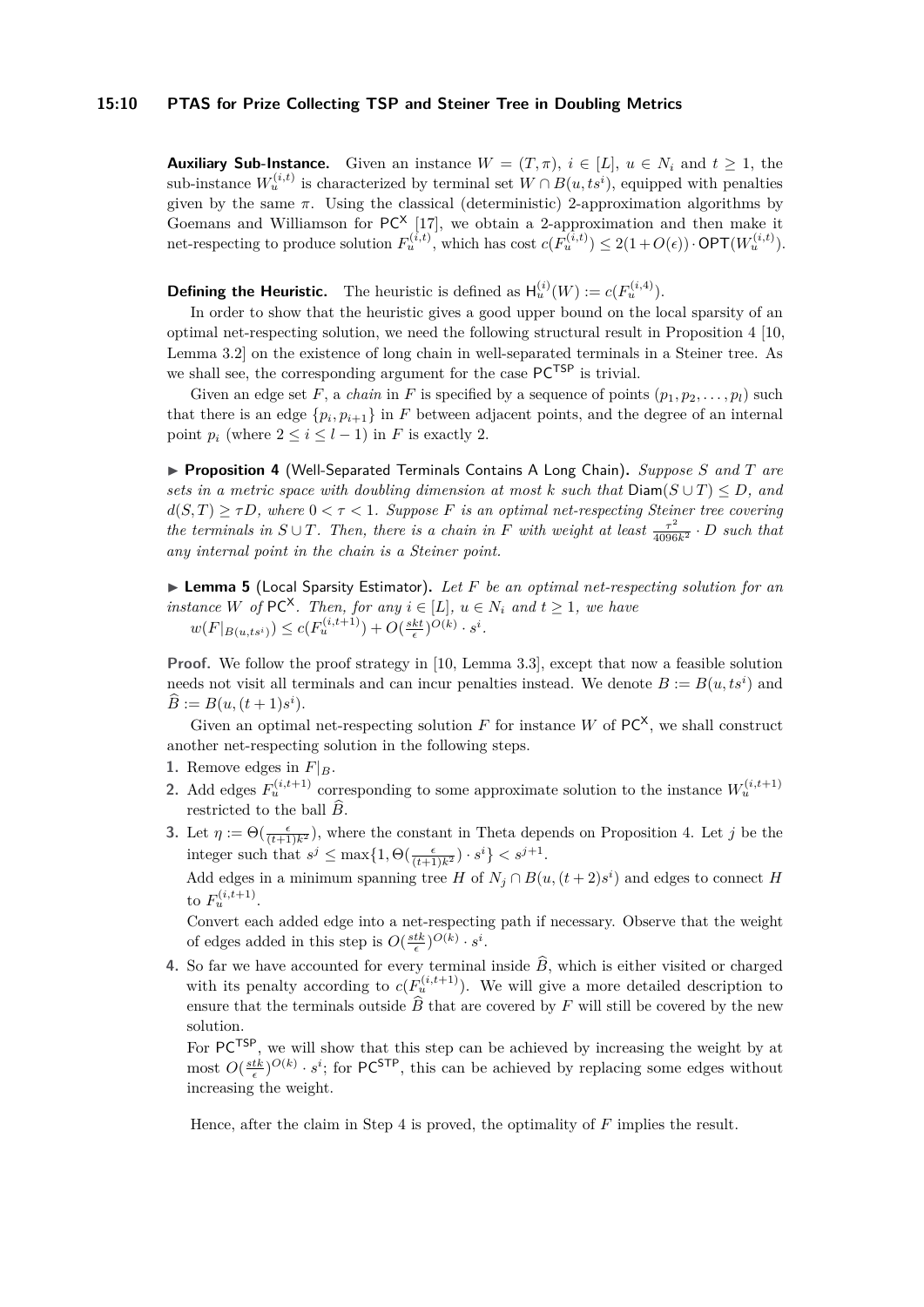#### **15:10 PTAS for Prize Collecting TSP and Steiner Tree in Doubling Metrics**

**Auxiliary Sub-Instance.** Given an instance  $W = (T, \pi)$ ,  $i \in [L]$ ,  $u \in N_i$  and  $t \geq 1$ , the sub-instance  $W_u^{(i,t)}$  is characterized by terminal set  $W \cap B(u, ts^i)$ , equipped with penalties given by the same  $\pi$ . Using the classical (deterministic) 2-approximation algorithms by Goemans and Williamson for  $PC^X$  [\[17\]](#page-12-3), we obtain a 2-approximation and then make it net-respecting to produce solution  $F_u^{(i,t)}$ , which has cost  $c(F_u^{(i,t)}) \leq 2(1+O(\epsilon)) \cdot \text{OPT}(W_u^{(i,t)})$ .

**Defining the Heuristic.** The heuristic is defined as  $H_u^{(i)}(W) := c(F_u^{(i,4)})$ .

In order to show that the heuristic gives a good upper bound on the local sparsity of an optimal net-respecting solution, we need the following structural result in Proposition [4](#page-9-1) [\[10,](#page-12-12) Lemma 3.2] on the existence of long chain in well-separated terminals in a Steiner tree. As we shall see, the corresponding argument for the case PCTSP is trivial.

Given an edge set F, a *chain* in F is specified by a sequence of points  $(p_1, p_2, \ldots, p_l)$  such that there is an edge  $\{p_i, p_{i+1}\}\$ in *F* between adjacent points, and the degree of an internal point  $p_i$  (where  $2 \leq i \leq l-1$ ) in *F* is exactly 2.

<span id="page-9-1"></span>I **Proposition 4** (Well-Separated Terminals Contains A Long Chain)**.** *Suppose S and T are sets in a metric space with doubling dimension at most*  $k$  *such that*  $Diam(S \cup T) \le D$ , and  $d(S,T) \geq \tau D$ , where  $0 < \tau < 1$ . Suppose *F* is an optimal net-respecting Steiner tree covering *the terminals in*  $S \cup T$ *. Then, there is a chain in F with weight at least*  $\frac{\tau^2}{4096k^2} \cdot D$  *such that any internal point in the chain is a Steiner point.*

<span id="page-9-0"></span>▶ **Lemma 5** (Local Sparsity Estimator). Let *F* be an optimal net-respecting solution for an *instance W* of PC<sup> $\times$ </sup>. Then, for any  $i \in [L]$ ,  $u \in N_i$  and  $t \geq 1$ , we have  $w(F|_{B(u,ts^i)}) \leq c(F_u^{(i,t+1)}) + O(\frac{skt}{\epsilon})^{O(k)} \cdot s^i$ .

**Proof.** We follow the proof strategy in [\[10,](#page-12-12) Lemma 3.3], except that now a feasible solution needs not visit all terminals and can incur penalties instead. We denote  $B := B(u, ts^i)$  and  $\widehat{B} := B(u, (t+1)s^i).$ 

Given an optimal net-respecting solution  $F$  for instance  $W$  of  $PC^X$ , we shall construct another net-respecting solution in the following steps.

- **1.** Remove edges in  $F|_B$ .
- 2. Add edges  $F_u^{(i,t+1)}$  corresponding to some approximate solution to the instance  $W_u^{(i,t+1)}$ restricted to the ball  $\widehat{B}$ .
- **3.** Let  $\eta := \Theta(\frac{\epsilon}{(t+1)k^2})$ , where the constant in Theta depends on Proposition [4.](#page-9-1) Let *j* be the integer such that  $s^j \le \max\{1, \Theta(\frac{\epsilon}{(t+1)k^2}) \cdot s^i\} < s^{j+1}$ .

Add edges in a minimum spanning tree *H* of  $N_j \cap B(u,(t+2)s^i)$  and edges to connect *H* to  $F_u^{(i,t+1)}$ .

Convert each added edge into a net-respecting path if necessary. Observe that the weight of edges added in this step is  $O(\frac{stk}{\epsilon})^{O(k)} \cdot s^i$ .

**4.** So far we have accounted for every terminal inside  $\widehat{B}$ , which is either visited or charged with its penalty according to  $c(F_u^{(i,t+1)})$ . We will give a more detailed description to ensure that the terminals outside  $\overline{B}$  that are covered by  $F$  will still be covered by the new solution.

For  $PC^{TSP}$ , we will show that this step can be achieved by increasing the weight by at most  $O(\frac{stk}{\epsilon})^{O(k)} \cdot s^i$ ; for PC<sup>STP</sup>, this can be achieved by replacing some edges without increasing the weight.

Hence, after the claim in Step 4 is proved, the optimality of *F* implies the result.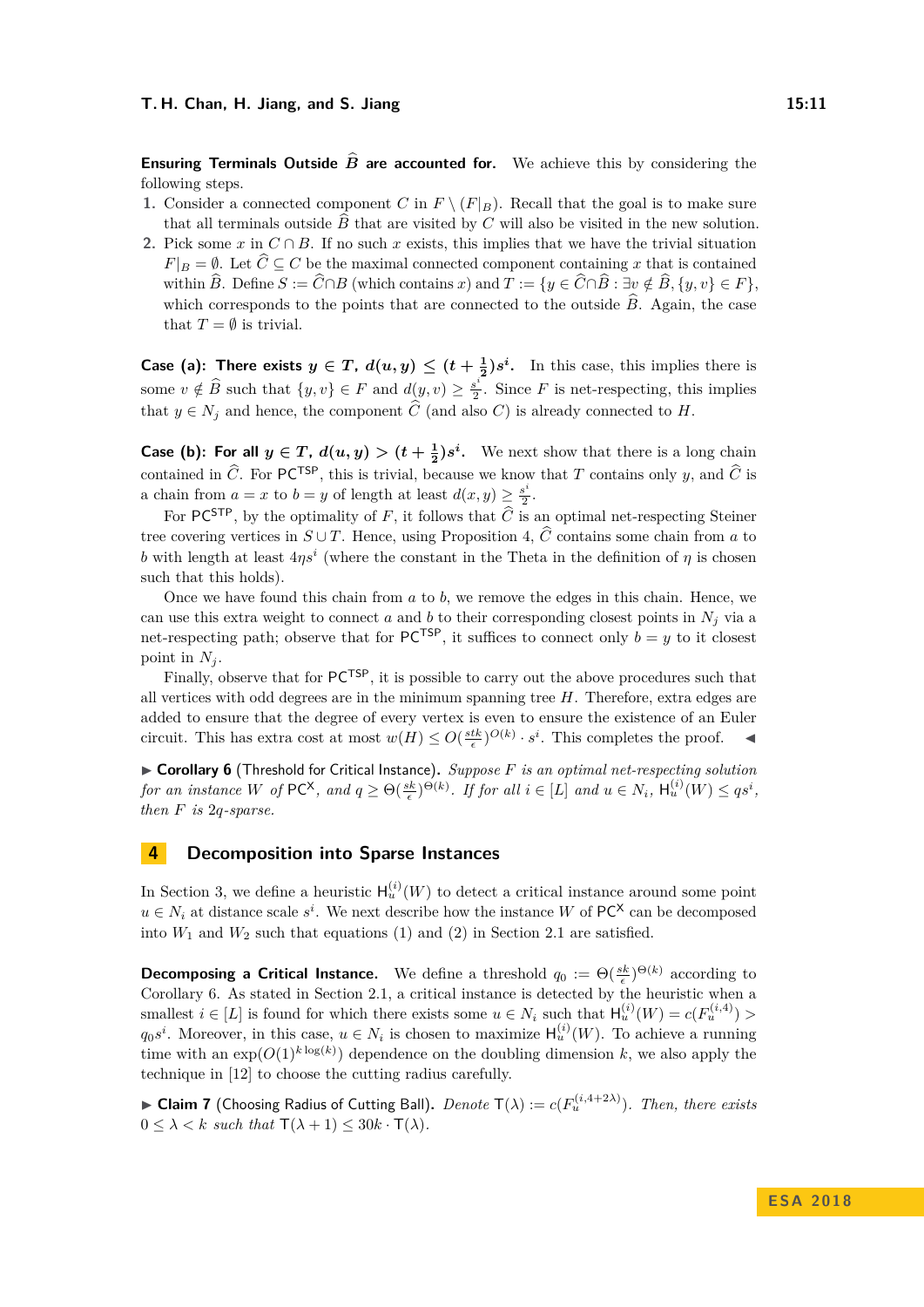**Ensuring Terminals Outside**  $\hat{B}$  **are accounted for.** We achieve this by considering the following steps.

- **1.** Consider a connected component *C* in  $F \setminus (F|_B)$ . Recall that the goal is to make sure that all terminals outside  $\hat{B}$  that are visited by *C* will also be visited in the new solution.
- **2.** Pick some *x* in  $C \cap B$ . If no such *x* exists, this implies that we have the trivial situation  $F|_B = \emptyset$ . Let  $\widehat{C} \subseteq C$  be the maximal connected component containing *x* that is contained within  $\widehat{B}$ . Define  $S := \widehat{C} \cap B$  (which contains *x*) and  $T := \{y \in \widehat{C} \cap \widehat{B} : \exists v \notin \widehat{B}, \{y, v\} \in F\},\$ which corresponds to the points that are connected to the outside  $\hat{B}$ . Again, the case that  $T = \emptyset$  is trivial.

**Case (a):** There exists  $y \in T$ ,  $d(u, y) \leq (t + \frac{1}{2})s^i$ . In this case, this implies there is some  $v \notin \widehat{B}$  such that  $\{y, v\} \in F$  and  $d(y, v) \geq \frac{s^i}{2}$  $\frac{s^2}{2}$ . Since *F* is net-respecting, this implies that  $y \in N_j$  and hence, the component  $\widehat{C}$  (and also *C*) is already connected to *H*.

**Case (b):** For all  $y \in T$ ,  $d(u, y) > (t + \frac{1}{2})s^i$ . We next show that there is a long chain contained in  $\widehat{C}$ . For PC<sup>TSP</sup>, this is trivial, because we know that *T* contains only *y*, and  $\widehat{C}$  is a chain from  $a = x$  to  $b = y$  of length at least  $d(x, y) \geq \frac{s^i}{2}$  $\frac{s^*}{2}$ .

For PC<sup>STP</sup>, by the optimality of *F*, it follows that  $\hat{C}$  is an optimal net-respecting Steiner tree covering vertices in  $S \cup T$ . Hence, using Proposition [4,](#page-9-1)  $\hat{C}$  contains some chain from *a* to *b* with length at least  $4\eta s^i$  (where the constant in the Theta in the definition of  $\eta$  is chosen such that this holds).

Once we have found this chain from *a* to *b*, we remove the edges in this chain. Hence, we can use this extra weight to connect *a* and *b* to their corresponding closest points in  $N_i$  via a net-respecting path; observe that for  $PC^{TSP}$ , it suffices to connect only  $b = y$  to it closest point in  $N_i$ .

Finally, observe that for  $PC^{TSP}$ , it is possible to carry out the above procedures such that all vertices with odd degrees are in the minimum spanning tree *H*. Therefore, extra edges are added to ensure that the degree of every vertex is even to ensure the existence of an Euler circuit. This has extra cost at most  $w(H) \leq O(\frac{stk}{\epsilon})^{O(k)} \cdot s^i$ . This completes the proof.

<span id="page-10-1"></span>▶ Corollary 6 (Threshold for Critical Instance). *Suppose F is an optimal net-respecting solution* for an instance W of  $PC^{\mathsf{X}}$ , and  $q \geq \Theta(\frac{sk}{\epsilon})^{\Theta(k)}$ . If for all  $i \in [L]$  and  $u \in N_i$ ,  $\mathsf{H}_u^{(i)}(W) \leq qs^i$ , *then F is* 2*q-sparse.*

# <span id="page-10-0"></span>**4 Decomposition into Sparse Instances**

In Section [3,](#page-8-0) we define a heuristic  $H_u^{(i)}(W)$  to detect a critical instance around some point  $u \in N_i$  at distance scale  $s^i$ . We next describe how the instance *W* of PC<sup>X</sup> can be decomposed into  $W_1$  and  $W_2$  such that equations [\(1\)](#page-8-3) and [\(2\)](#page-8-2) in Section [2.1](#page-6-1) are satisfied.

**Decomposing a Critical Instance.** We define a threshold  $q_0 := \Theta(\frac{sk}{\epsilon})^{\Theta(k)}$  according to Corollary [6.](#page-10-1) As stated in Section [2.1,](#page-6-1) a critical instance is detected by the heuristic when a smallest  $i \in [L]$  is found for which there exists some  $u \in N_i$  such that  $H_u^{(i)}(W) = c(F_u^{(i,4)}) >$  $q_0s^i$ . Moreover, in this case,  $u \in N_i$  is chosen to maximize  $H_u^{(i)}(W)$ . To achieve a running time with an  $\exp(O(1)^{k \log(k)})$  dependence on the doubling dimension k, we also apply the technique in [\[12\]](#page-12-11) to choose the cutting radius carefully.

<span id="page-10-2"></span> $\blacktriangleright$  **Claim 7** (Choosing Radius of Cutting Ball). *Denote*  $\mathsf{T}(\lambda) := c(F_u^{(i,4+2\lambda)})$ . *Then, there exists*  $0 \leq \lambda < k$  such that  $\mathsf{T}(\lambda + 1) \leq 30k \cdot \mathsf{T}(\lambda)$ .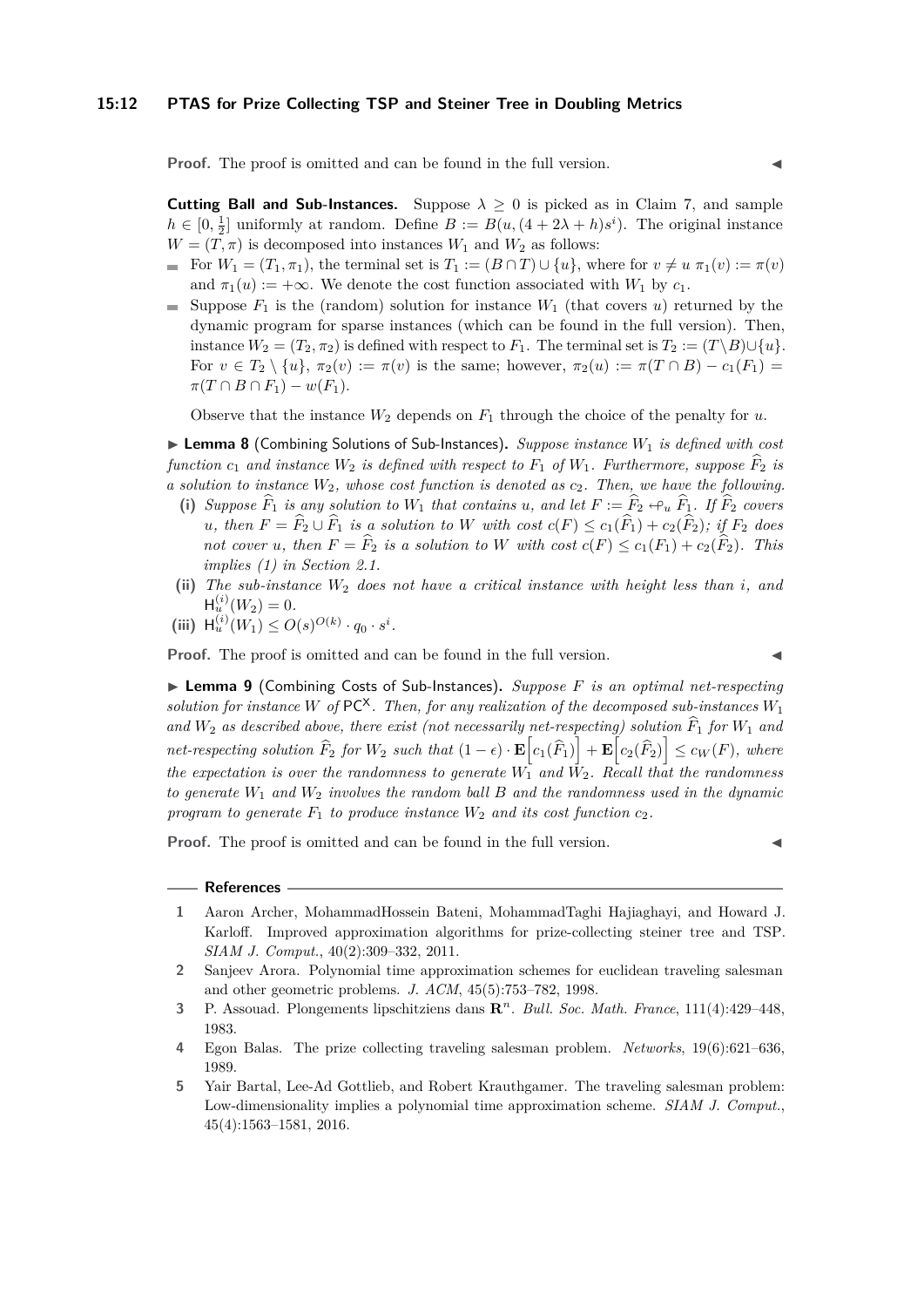**Proof.** The proof is omitted and can be found in the full version.

**Cutting Ball and Sub-Instances.** Suppose  $\lambda \geq 0$  is picked as in Claim [7,](#page-10-2) and sample  $h \in [0, \frac{1}{2}]$  uniformly at random. Define  $B := B(u, (4 + 2\lambda + h)s^i)$ . The original instance  $W = (T, \pi)$  is decomposed into instances  $W_1$  and  $W_2$  as follows:

- For  $W_1 = (T_1, \pi_1)$ , the terminal set is  $T_1 := (B \cap T) \cup \{u\}$ , where for  $v \neq u \pi_1(v) := \pi(v)$ and  $\pi_1(u) := +\infty$ . We denote the cost function associated with  $W_1$  by  $c_1$ .
- Suppose  $F_1$  is the (random) solution for instance  $W_1$  (that covers *u*) returned by the dynamic program for sparse instances (which can be found in the full version). Then, instance  $W_2 = (T_2, \pi_2)$  is defined with respect to  $F_1$ . The terminal set is  $T_2 := (T \setminus B) \cup \{u\}.$ For  $v \in T_2 \setminus \{u\}, \pi_2(v) := \pi(v)$  is the same; however,  $\pi_2(u) := \pi(T \cap B) - c_1(F_1) =$  $\pi(T \cap B \cap F_1) - w(F_1).$

Observe that the instance  $W_2$  depends on  $F_1$  through the choice of the penalty for  $u$ .

▶ Lemma 8 (Combining Solutions of Sub-Instances). *Suppose instance*  $W_1$  *is defined with cost function*  $c_1$  *and instance*  $W_2$  *is defined with respect to*  $F_1$  *of*  $W_1$ *. Furthermore, suppose*  $F_2$  *is a solution to instance W*2*, whose cost function is denoted as c*2*. Then, we have the following.*

- (i) *Suppose*  $\widehat{F}_1$  *is any solution to*  $W_1$  *that contains u, and let*  $F := \widehat{F}_2 \leftrightarrow_u \widehat{F}_1$ *. If*  $\widehat{F}_2$  *covers u*, then  $F = \hat{F}_2 \cup \hat{F}_1$  *is a solution to W with cost*  $c(F) \leq c_1(\hat{F}_1) + c_2(\hat{F}_2)$ *; if*  $F_2$  *does not cover u*, then  $F = \hat{F}_2$  *is a solution to W* with cost  $c(F) \leq c_1(F_1) + c_2(F_2)$ *. This implies [\(1\)](#page-8-3) in Section [2.1.](#page-6-1)*
- **(ii)** *The sub-instance W*<sup>2</sup> *does not have a critical instance with height less than i, and*  $H_u^{(i)}(W_2) = 0.$
- (iii)  $H_u^{(i)}(W_1) \leq O(s)^{O(k)} \cdot q_0 \cdot s^i$ .

**Proof.** The proof is omitted and can be found in the full version.

▶ **Lemma 9** (Combining Costs of Sub-Instances). *Suppose F is an optimal net-respecting solution for instance W* of  $PC^{\chi}$ . Then, for any realization of the decomposed sub-instances  $W_1$ and  $W_2$  as described above, there exist (not necessarily net-respecting) solution  $\hat{F}_1$  for  $W_1$  and  $net$ -respecting solution  $\widehat{F}_2$  for  $W_2$  such that  $(1 - \epsilon) \cdot \mathbf{E}\Big[c_1(\widehat{F}_1)\Big] + \mathbf{E}\Big[c_2(\widehat{F}_2)\Big] \leq c_W(F)$ , where *the expectation is over the randomness to generate*  $W_1^{\dagger}$  *and*  $\dot{W}_2$ *. Recall that the randomness to generate W*<sup>1</sup> *and W*<sup>2</sup> *involves the random ball B and the randomness used in the dynamic program to generate*  $F_1$  *to produce instance*  $W_2$  *and its cost function*  $c_2$ *.* 

**Proof.** The proof is omitted and can be found in the full version.

#### **References**

- <span id="page-11-1"></span>**1** Aaron Archer, MohammadHossein Bateni, MohammadTaghi Hajiaghayi, and Howard J. Karloff. Improved approximation algorithms for prize-collecting steiner tree and TSP. *SIAM J. Comput.*, 40(2):309–332, 2011.
- <span id="page-11-2"></span>**2** Sanjeev Arora. Polynomial time approximation schemes for euclidean traveling salesman and other geometric problems. *J. ACM*, 45(5):753–782, 1998.
- <span id="page-11-3"></span>**3** P. Assouad. Plongements lipschitziens dans **R** *n* . *Bull. Soc. Math. France*, 111(4):429–448, 1983.
- <span id="page-11-0"></span>**4** Egon Balas. The prize collecting traveling salesman problem. *Networks*, 19(6):621–636, 1989.
- <span id="page-11-4"></span>**5** Yair Bartal, Lee-Ad Gottlieb, and Robert Krauthgamer. The traveling salesman problem: Low-dimensionality implies a polynomial time approximation scheme. *SIAM J. Comput.*, 45(4):1563–1581, 2016.